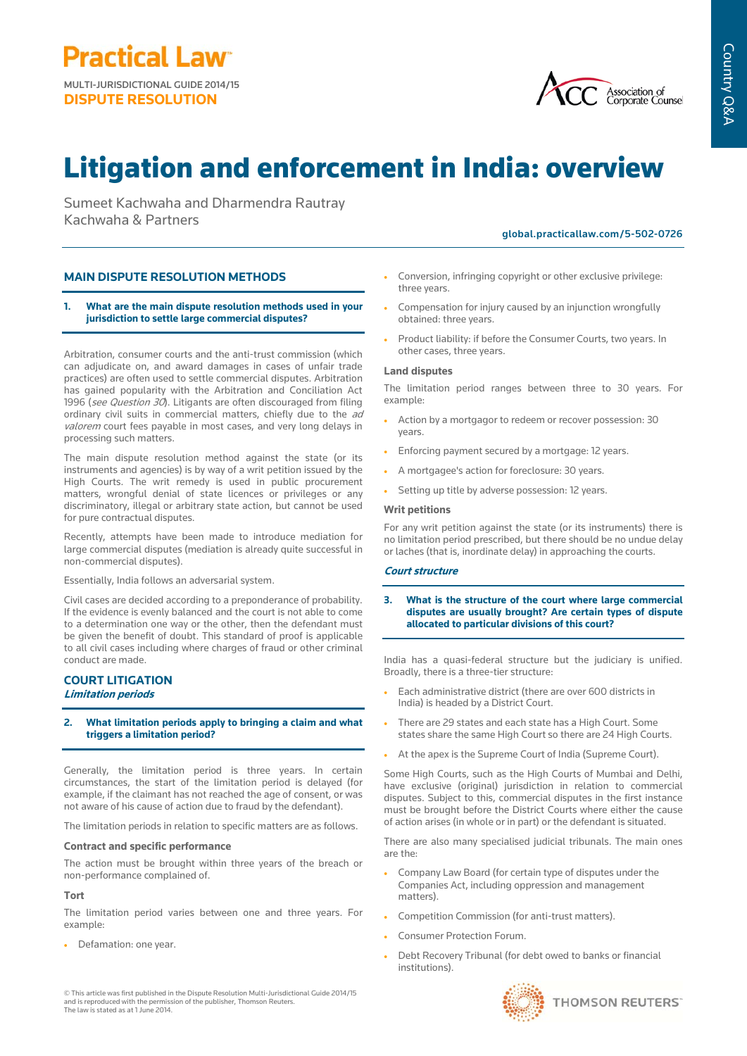**Practical Law<sup>®</sup>** MULTI-JURISDICTIONAL GUIDE 2014/15

**DISPUTE RESOLUTION**



# Litigation and enforcement in India: overview

Sumeet Kachwaha and Dharmendra Rautray Kachwaha & Partners

global.practicallaw.com/5-502-0726

## **MAIN DISPUTE RESOLUTION METHODS**

### **1. What are the main dispute resolution methods used in your jurisdiction to settle large commercial disputes?**

Arbitration, consumer courts and the anti-trust commission (which can adjudicate on, and award damages in cases of unfair trade practices) are often used to settle commercial disputes. Arbitration has gained popularity with the Arbitration and Conciliation Act 1996 (see Question 30). Litigants are often discouraged from filing ordinary civil suits in commercial matters, chiefly due to the ad valorem court fees payable in most cases, and very long delays in processing such matters.

The main dispute resolution method against the state (or its instruments and agencies) is by way of a writ petition issued by the High Courts. The writ remedy is used in public procurement matters, wrongful denial of state licences or privileges or any discriminatory, illegal or arbitrary state action, but cannot be used for pure contractual disputes.

Recently, attempts have been made to introduce mediation for large commercial disputes (mediation is already quite successful in non-commercial disputes).

Essentially, India follows an adversarial system.

Civil cases are decided according to a preponderance of probability. If the evidence is evenly balanced and the court is not able to come to a determination one way or the other, then the defendant must be given the benefit of doubt. This standard of proof is applicable to all civil cases including where charges of fraud or other criminal conduct are made.

## **COURT LITIGATION Limitation periods**

## **2. What limitation periods apply to bringing a claim and what triggers a limitation period?**

Generally, the limitation period is three years. In certain circumstances, the start of the limitation period is delayed (for example, if the claimant has not reached the age of consent, or was not aware of his cause of action due to fraud by the defendant).

The limitation periods in relation to specific matters are as follows.

#### **Contract and specific performance**

The action must be brought within three years of the breach or non-performance complained of.

#### **Tort**

The limitation period varies between one and three years. For example:

- Defamation: one year.
- © This article was first published in the Dispute Resolution Multi-Jurisdictional Guide 2014/15 and is reproduced with the permission of the publisher, Thomson Reuters. The law is stated as at 1 June 2014.
- Conversion, infringing copyright or other exclusive privilege: three years.
- Compensation for injury caused by an injunction wrongfully obtained: three years.
- Product liability: if before the Consumer Courts, two years. In other cases, three years.

## **Land disputes**

The limitation period ranges between three to 30 years. For example:

- Action by a mortgagor to redeem or recover possession: 30 years.
- Enforcing payment secured by a mortgage: 12 years.
- A mortgagee's action for foreclosure: 30 years.
- Setting up title by adverse possession: 12 years.

#### **Writ petitions**

For any writ petition against the state (or its instruments) there is no limitation period prescribed, but there should be no undue delay or laches (that is, inordinate delay) in approaching the courts.

#### **Court structure**

**3. What is the structure of the court where large commercial disputes are usually brought? Are certain types of dispute allocated to particular divisions of this court?** 

India has a quasi-federal structure but the judiciary is unified. Broadly, there is a three-tier structure:

- Each administrative district (there are over 600 districts in India) is headed by a District Court.
- There are 29 states and each state has a High Court. Some states share the same High Court so there are 24 High Courts.
- At the apex is the Supreme Court of India (Supreme Court).

Some High Courts, such as the High Courts of Mumbai and Delhi, have exclusive (original) jurisdiction in relation to commercial disputes. Subject to this, commercial disputes in the first instance must be brought before the District Courts where either the cause of action arises (in whole or in part) or the defendant is situated.

There are also many specialised judicial tribunals. The main ones are the:

- Company Law Board (for certain type of disputes under the Companies Act, including oppression and management matters).
- Competition Commission (for anti-trust matters).
- Consumer Protection Forum.
- Debt Recovery Tribunal (for debt owed to banks or financial institutions).

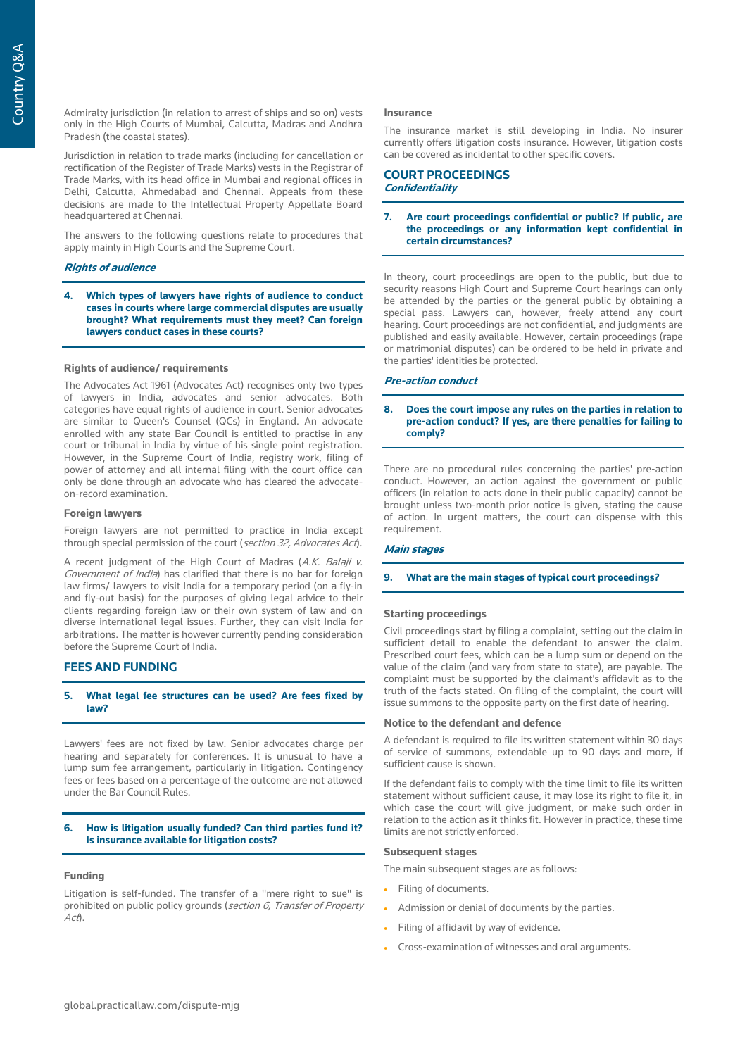Admiralty jurisdiction (in relation to arrest of ships and so on) vests only in the High Courts of Mumbai, Calcutta, Madras and Andhra Pradesh (the coastal states).

Jurisdiction in relation to trade marks (including for cancellation or rectification of the Register of Trade Marks) vests in the Registrar of Trade Marks, with its head office in Mumbai and regional offices in Delhi, Calcutta, Ahmedabad and Chennai. Appeals from these decisions are made to the Intellectual Property Appellate Board headquartered at Chennai.

The answers to the following questions relate to procedures that apply mainly in High Courts and the Supreme Court.

## **Rights of audience**

**4. Which types of lawyers have rights of audience to conduct cases in courts where large commercial disputes are usually brought? What requirements must they meet? Can foreign lawyers conduct cases in these courts?**

## **Rights of audience/ requirements**

The Advocates Act 1961 (Advocates Act) recognises only two types of lawyers in India, advocates and senior advocates. Both categories have equal rights of audience in court. Senior advocates are similar to Queen's Counsel (QCs) in England. An advocate enrolled with any state Bar Council is entitled to practise in any court or tribunal in India by virtue of his single point registration. However, in the Supreme Court of India, registry work, filing of power of attorney and all internal filing with the court office can only be done through an advocate who has cleared the advocateon-record examination.

## **Foreign lawyers**

Foreign lawyers are not permitted to practice in India except through special permission of the court (section 32, Advocates Act).

A recent judgment of the High Court of Madras (A.K. Balaji v. Government of India) has clarified that there is no bar for foreign law firms/ lawyers to visit India for a temporary period (on a fly-in and fly-out basis) for the purposes of giving legal advice to their clients regarding foreign law or their own system of law and on diverse international legal issues. Further, they can visit India for arbitrations. The matter is however currently pending consideration before the Supreme Court of India.

## **FEES AND FUNDING**

## **5. What legal fee structures can be used? Are fees fixed by law?**

Lawyers' fees are not fixed by law. Senior advocates charge per hearing and separately for conferences. It is unusual to have a lump sum fee arrangement, particularly in litigation. Contingency fees or fees based on a percentage of the outcome are not allowed under the Bar Council Rules.

#### **6. How is litigation usually funded? Can third parties fund it? Is insurance available for litigation costs?**

#### **Funding**

Litigation is self-funded. The transfer of a "mere right to sue" is prohibited on public policy grounds (section 6, Transfer of Property  $A<sub>cf</sub>$ 

#### **Insurance**

The insurance market is still developing in India. No insurer currently offers litigation costs insurance. However, litigation costs can be covered as incidental to other specific covers.

## **COURT PROCEEDINGS Confidentiality**

#### **7. Are court proceedings confidential or public? If public, are the proceedings or any information kept confidential in certain circumstances?**

In theory, court proceedings are open to the public, but due to security reasons High Court and Supreme Court hearings can only be attended by the parties or the general public by obtaining a special pass. Lawyers can, however, freely attend any court hearing. Court proceedings are not confidential, and judgments are published and easily available. However, certain proceedings (rape or matrimonial disputes) can be ordered to be held in private and the parties' identities be protected.

#### **Pre-action conduct**

#### **8. Does the court impose any rules on the parties in relation to pre-action conduct? If yes, are there penalties for failing to comply?**

There are no procedural rules concerning the parties' pre-action conduct. However, an action against the government or public officers (in relation to acts done in their public capacity) cannot be brought unless two-month prior notice is given, stating the cause of action. In urgent matters, the court can dispense with this requirement.

#### **Main stages**

#### **9. What are the main stages of typical court proceedings?**

## **Starting proceedings**

Civil proceedings start by filing a complaint, setting out the claim in sufficient detail to enable the defendant to answer the claim. Prescribed court fees, which can be a lump sum or depend on the value of the claim (and vary from state to state), are payable. The complaint must be supported by the claimant's affidavit as to the truth of the facts stated. On filing of the complaint, the court will issue summons to the opposite party on the first date of hearing.

#### **Notice to the defendant and defence**

A defendant is required to file its written statement within 30 days of service of summons, extendable up to 90 days and more, if sufficient cause is shown.

If the defendant fails to comply with the time limit to file its written statement without sufficient cause, it may lose its right to file it, in which case the court will give judgment, or make such order in relation to the action as it thinks fit. However in practice, these time limits are not strictly enforced.

#### **Subsequent stages**

The main subsequent stages are as follows:

- Filing of documents.
- Admission or denial of documents by the parties.
- Filing of affidavit by way of evidence.
- Cross-examination of witnesses and oral arguments.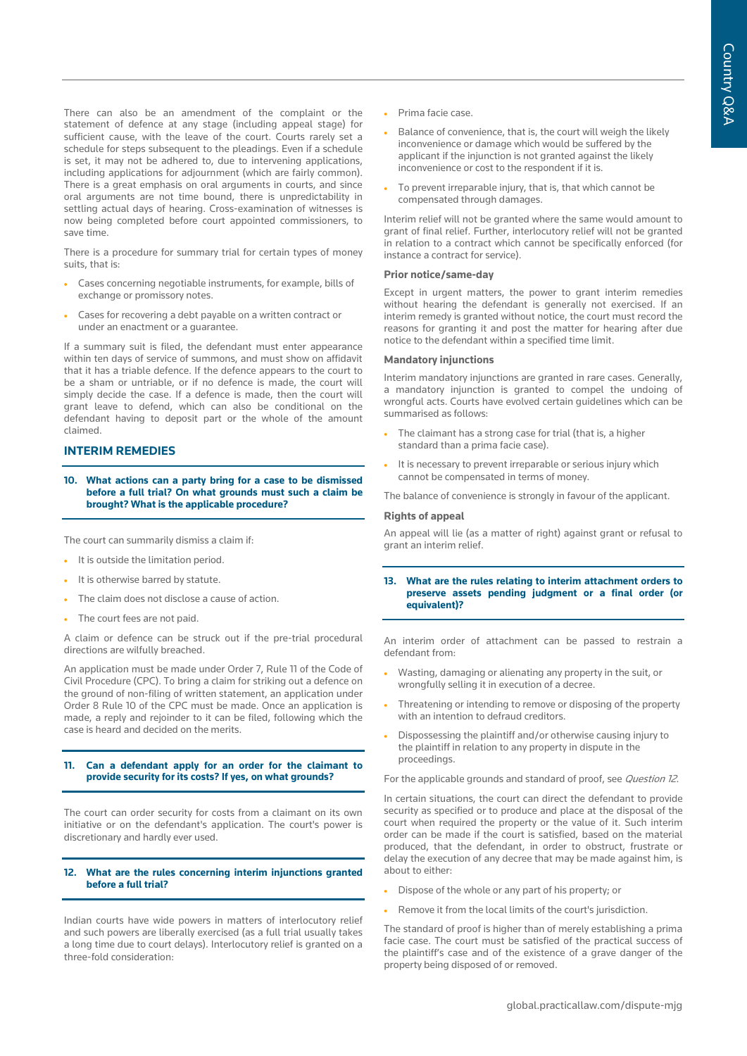There can also be an amendment of the complaint or the statement of defence at any stage (including appeal stage) for sufficient cause, with the leave of the court. Courts rarely set a schedule for steps subsequent to the pleadings. Even if a schedule is set, it may not be adhered to, due to intervening applications, including applications for adjournment (which are fairly common). There is a great emphasis on oral arguments in courts, and since oral arguments are not time bound, there is unpredictability in settling actual days of hearing. Cross-examination of witnesses is now being completed before court appointed commissioners, to save time.

There is a procedure for summary trial for certain types of money suits, that is:

- Cases concerning negotiable instruments, for example, bills of exchange or promissory notes.
- Cases for recovering a debt payable on a written contract or under an enactment or a guarantee.

If a summary suit is filed, the defendant must enter appearance within ten days of service of summons, and must show on affidavit that it has a triable defence. If the defence appears to the court to be a sham or untriable, or if no defence is made, the court will simply decide the case. If a defence is made, then the court will grant leave to defend, which can also be conditional on the defendant having to deposit part or the whole of the amount claimed.

## **INTERIM REMEDIES**

**10. What actions can a party bring for a case to be dismissed before a full trial? On what grounds must such a claim be brought? What is the applicable procedure?** 

The court can summarily dismiss a claim if:

- It is outside the limitation period.
- It is otherwise barred by statute.
- The claim does not disclose a cause of action.
- The court fees are not paid.

A claim or defence can be struck out if the pre-trial procedural directions are wilfully breached.

An application must be made under Order 7, Rule 11 of the Code of Civil Procedure (CPC). To bring a claim for striking out a defence on the ground of non-filing of written statement, an application under Order 8 Rule 10 of the CPC must be made. Once an application is made, a reply and rejoinder to it can be filed, following which the case is heard and decided on the merits.

## **11. Can a defendant apply for an order for the claimant to provide security for its costs? If yes, on what grounds?**

The court can order security for costs from a claimant on its own initiative or on the defendant's application. The court's power is discretionary and hardly ever used.

## **12. What are the rules concerning interim injunctions granted before a full trial?**

Indian courts have wide powers in matters of interlocutory relief and such powers are liberally exercised (as a full trial usually takes a long time due to court delays). Interlocutory relief is granted on a three-fold consideration:

- Prima facie case.
- Balance of convenience, that is, the court will weigh the likely inconvenience or damage which would be suffered by the applicant if the injunction is not granted against the likely inconvenience or cost to the respondent if it is.
- To prevent irreparable injury, that is, that which cannot be compensated through damages.

Interim relief will not be granted where the same would amount to grant of final relief. Further, interlocutory relief will not be granted in relation to a contract which cannot be specifically enforced (for instance a contract for service).

## **Prior notice/same-day**

Except in urgent matters, the power to grant interim remedies without hearing the defendant is generally not exercised. If an interim remedy is granted without notice, the court must record the reasons for granting it and post the matter for hearing after due notice to the defendant within a specified time limit.

## **Mandatory injunctions**

Interim mandatory injunctions are granted in rare cases. Generally, a mandatory injunction is granted to compel the undoing of wrongful acts. Courts have evolved certain guidelines which can be summarised as follows:

- The claimant has a strong case for trial (that is, a higher standard than a prima facie case).
- It is necessary to prevent irreparable or serious injury which cannot be compensated in terms of money.

The balance of convenience is strongly in favour of the applicant.

#### **Rights of appeal**

An appeal will lie (as a matter of right) against grant or refusal to grant an interim relief.

**13. What are the rules relating to interim attachment orders to preserve assets pending judgment or a final order (or equivalent)?**

An interim order of attachment can be passed to restrain a defendant from:

- Wasting, damaging or alienating any property in the suit, or wrongfully selling it in execution of a decree.
- Threatening or intending to remove or disposing of the property with an intention to defraud creditors.
- Dispossessing the plaintiff and/or otherwise causing injury to the plaintiff in relation to any property in dispute in the proceedings.

For the applicable grounds and standard of proof, see Question 12.

In certain situations, the court can direct the defendant to provide security as specified or to produce and place at the disposal of the court when required the property or the value of it. Such interim order can be made if the court is satisfied, based on the material produced, that the defendant, in order to obstruct, frustrate or delay the execution of any decree that may be made against him, is about to either:

- Dispose of the whole or any part of his property; or
- Remove it from the local limits of the court's jurisdiction.

The standard of proof is higher than of merely establishing a prima facie case. The court must be satisfied of the practical success of the plaintiff's case and of the existence of a grave danger of the property being disposed of or removed.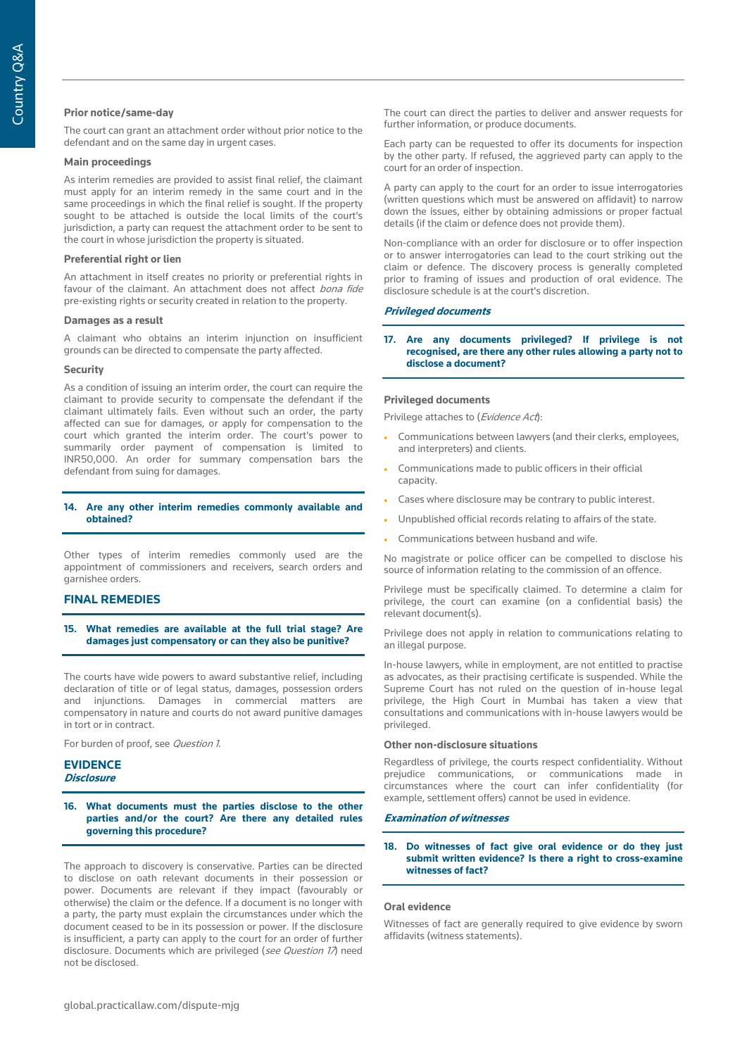## **Prior notice/same-day**

The court can grant an attachment order without prior notice to the defendant and on the same day in urgent cases.

#### **Main proceedings**

As interim remedies are provided to assist final relief, the claimant must apply for an interim remedy in the same court and in the same proceedings in which the final relief is sought. If the property sought to be attached is outside the local limits of the court's jurisdiction, a party can request the attachment order to be sent to the court in whose jurisdiction the property is situated.

#### **Preferential right or lien**

An attachment in itself creates no priority or preferential rights in favour of the claimant. An attachment does not affect bona fide pre-existing rights or security created in relation to the property.

#### **Damages as a result**

A claimant who obtains an interim injunction on insufficient grounds can be directed to compensate the party affected.

#### **Security**

As a condition of issuing an interim order, the court can require the claimant to provide security to compensate the defendant if the claimant ultimately fails. Even without such an order, the party affected can sue for damages, or apply for compensation to the court which granted the interim order. The court's power to summarily order payment of compensation is limited to INR50,000. An order for summary compensation bars the defendant from suing for damages.

#### **14. Are any other interim remedies commonly available and obtained?**

Other types of interim remedies commonly used are the appointment of commissioners and receivers, search orders and garnishee orders.

## **FINAL REMEDIES**

**15. What remedies are available at the full trial stage? Are damages just compensatory or can they also be punitive?**

The courts have wide powers to award substantive relief, including declaration of title or of legal status, damages, possession orders and injunctions. Damages in commercial matters are compensatory in nature and courts do not award punitive damages in tort or in contract.

For burden of proof, see Question 1.

#### **EVIDENCE Disclosure**

**16. What documents must the parties disclose to the other parties and/or the court? Are there any detailed rules governing this procedure?**

The approach to discovery is conservative. Parties can be directed to disclose on oath relevant documents in their possession or power. Documents are relevant if they impact (favourably or otherwise) the claim or the defence. If a document is no longer with a party, the party must explain the circumstances under which the document ceased to be in its possession or power. If the disclosure is insufficient, a party can apply to the court for an order of further disclosure. Documents which are privileged (see Question 17) need not be disclosed.

The court can direct the parties to deliver and answer requests for further information, or produce documents.

Each party can be requested to offer its documents for inspection by the other party. If refused, the aggrieved party can apply to the court for an order of inspection.

A party can apply to the court for an order to issue interrogatories (written questions which must be answered on affidavit) to narrow down the issues, either by obtaining admissions or proper factual details (if the claim or defence does not provide them).

Non-compliance with an order for disclosure or to offer inspection or to answer interrogatories can lead to the court striking out the claim or defence. The discovery process is generally completed prior to framing of issues and production of oral evidence. The disclosure schedule is at the court's discretion.

#### **Privileged documents**

**17. Are any documents privileged? If privilege is not recognised, are there any other rules allowing a party not to disclose a document?**

#### **Privileged documents**

Privilege attaches to (Evidence Act):

- Communications between lawyers (and their clerks, employees, and interpreters) and clients.
- Communications made to public officers in their official capacity.
- Cases where disclosure may be contrary to public interest.
- Unpublished official records relating to affairs of the state.
- Communications between husband and wife.

No magistrate or police officer can be compelled to disclose his source of information relating to the commission of an offence.

Privilege must be specifically claimed. To determine a claim for privilege, the court can examine (on a confidential basis) the relevant document(s).

Privilege does not apply in relation to communications relating to an illegal purpose.

In-house lawyers, while in employment, are not entitled to practise as advocates, as their practising certificate is suspended. While the Supreme Court has not ruled on the question of in-house legal privilege, the High Court in Mumbai has taken a view that consultations and communications with in-house lawyers would be privileged.

#### **Other non-disclosure situations**

Regardless of privilege, the courts respect confidentiality. Without prejudice communications, or communications made in circumstances where the court can infer confidentiality (for example, settlement offers) cannot be used in evidence.

#### **Examination of witnesses**

#### **18. Do witnesses of fact give oral evidence or do they just submit written evidence? Is there a right to cross-examine witnesses of fact?**

#### **Oral evidence**

Witnesses of fact are generally required to give evidence by sworn affidavits (witness statements).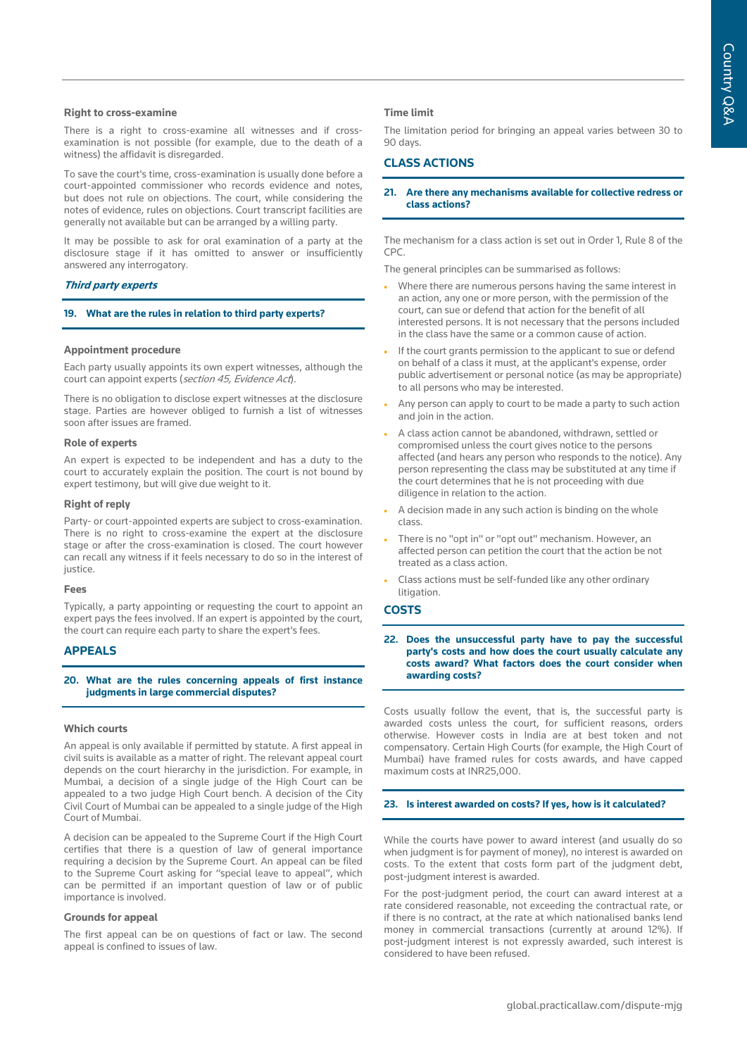#### **Right to cross-examine**

There is a right to cross-examine all witnesses and if crossexamination is not possible (for example, due to the death of a witness) the affidavit is disregarded.

To save the court's time, cross-examination is usually done before a court-appointed commissioner who records evidence and notes, but does not rule on objections. The court, while considering the notes of evidence, rules on objections. Court transcript facilities are generally not available but can be arranged by a willing party.

It may be possible to ask for oral examination of a party at the disclosure stage if it has omitted to answer or insufficiently answered any interrogatory.

#### **Third party experts**

#### **19. What are the rules in relation to third party experts?**

#### **Appointment procedure**

Each party usually appoints its own expert witnesses, although the court can appoint experts (section 45, Evidence Act).

There is no obligation to disclose expert witnesses at the disclosure stage. Parties are however obliged to furnish a list of witnesses soon after issues are framed.

#### **Role of experts**

An expert is expected to be independent and has a duty to the court to accurately explain the position. The court is not bound by expert testimony, but will give due weight to it.

#### **Right of reply**

Party- or court-appointed experts are subject to cross-examination. There is no right to cross-examine the expert at the disclosure stage or after the cross-examination is closed. The court however can recall any witness if it feels necessary to do so in the interest of justice.

#### **Fees**

Typically, a party appointing or requesting the court to appoint an expert pays the fees involved. If an expert is appointed by the court, the court can require each party to share the expert's fees.

## **APPEALS**

#### **20. What are the rules concerning appeals of first instance judgments in large commercial disputes?**

#### **Which courts**

An appeal is only available if permitted by statute. A first appeal in civil suits is available as a matter of right. The relevant appeal court depends on the court hierarchy in the jurisdiction. For example, in Mumbai, a decision of a single judge of the High Court can be appealed to a two judge High Court bench. A decision of the City Civil Court of Mumbai can be appealed to a single judge of the High Court of Mumbai.

A decision can be appealed to the Supreme Court if the High Court certifies that there is a question of law of general importance requiring a decision by the Supreme Court. An appeal can be filed to the Supreme Court asking for "special leave to appeal", which can be permitted if an important question of law or of public importance is involved.

#### **Grounds for appeal**

The first appeal can be on questions of fact or law. The second appeal is confined to issues of law.

#### **Time limit**

The limitation period for bringing an appeal varies between 30 to 90 days.

## **CLASS ACTIONS**

#### **21. Are there any mechanisms available for collective redress or class actions?**

The mechanism for a class action is set out in Order 1, Rule 8 of the CPC.

The general principles can be summarised as follows:

- Where there are numerous persons having the same interest in an action, any one or more person, with the permission of the court, can sue or defend that action for the benefit of all interested persons. It is not necessary that the persons included in the class have the same or a common cause of action.
- If the court grants permission to the applicant to sue or defend on behalf of a class it must, at the applicant's expense, order public advertisement or personal notice (as may be appropriate) to all persons who may be interested.
- Any person can apply to court to be made a party to such action and join in the action.
- A class action cannot be abandoned, withdrawn, settled or compromised unless the court gives notice to the persons affected (and hears any person who responds to the notice). Any person representing the class may be substituted at any time if the court determines that he is not proceeding with due diligence in relation to the action.
- A decision made in any such action is binding on the whole class.
- There is no "opt in" or "opt out" mechanism. However, an affected person can petition the court that the action be not treated as a class action.
- Class actions must be self-funded like any other ordinary litigation.

#### **COSTS**

**22. Does the unsuccessful party have to pay the successful party's costs and how does the court usually calculate any costs award? What factors does the court consider when awarding costs?**

Costs usually follow the event, that is, the successful party is awarded costs unless the court, for sufficient reasons, orders otherwise. However costs in India are at best token and not compensatory. Certain High Courts (for example, the High Court of Mumbai) have framed rules for costs awards, and have capped maximum costs at INR25,000.

## **23. Is interest awarded on costs? If yes, how is it calculated?**

While the courts have power to award interest (and usually do so when judgment is for payment of money), no interest is awarded on costs. To the extent that costs form part of the judgment debt, post-judgment interest is awarded.

For the post-judgment period, the court can award interest at a rate considered reasonable, not exceeding the contractual rate, or if there is no contract, at the rate at which nationalised banks lend money in commercial transactions (currently at around 12%). If post-judgment interest is not expressly awarded, such interest is considered to have been refused.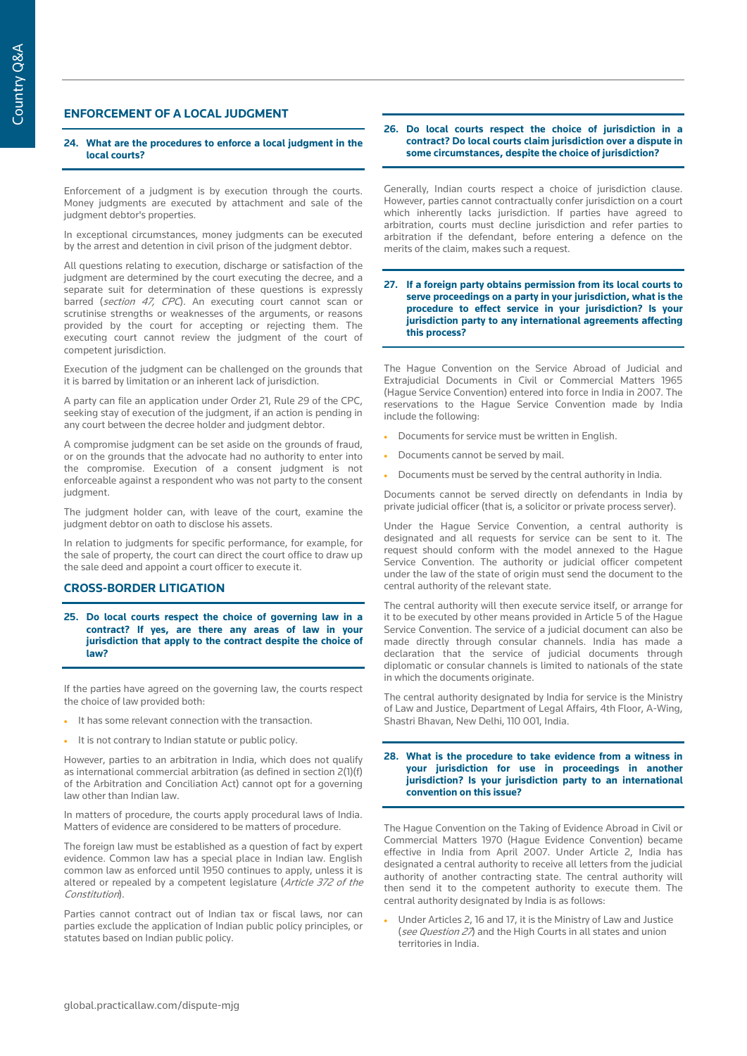## **ENFORCEMENT OF A LOCAL JUDGMENT**

#### **24. What are the procedures to enforce a local judgment in the local courts?**

Enforcement of a judgment is by execution through the courts. Money judgments are executed by attachment and sale of the judgment debtor's properties.

In exceptional circumstances, money judgments can be executed by the arrest and detention in civil prison of the judgment debtor.

All questions relating to execution, discharge or satisfaction of the judgment are determined by the court executing the decree, and a separate suit for determination of these questions is expressly barred (section 47, CPC). An executing court cannot scan or scrutinise strengths or weaknesses of the arguments, or reasons provided by the court for accepting or rejecting them. The executing court cannot review the judgment of the court of competent jurisdiction.

Execution of the judgment can be challenged on the grounds that it is barred by limitation or an inherent lack of jurisdiction.

A party can file an application under Order 21, Rule 29 of the CPC, seeking stay of execution of the judgment, if an action is pending in any court between the decree holder and judgment debtor.

A compromise judgment can be set aside on the grounds of fraud, or on the grounds that the advocate had no authority to enter into the compromise. Execution of a consent judgment is not enforceable against a respondent who was not party to the consent judament.

The judgment holder can, with leave of the court, examine the judgment debtor on oath to disclose his assets.

In relation to judgments for specific performance, for example, for the sale of property, the court can direct the court office to draw up the sale deed and appoint a court officer to execute it.

## **CROSS-BORDER LITIGATION**

**25. Do local courts respect the choice of governing law in a contract? If yes, are there any areas of law in your jurisdiction that apply to the contract despite the choice of law?**

If the parties have agreed on the governing law, the courts respect the choice of law provided both:

- It has some relevant connection with the transaction.
- It is not contrary to Indian statute or public policy.

However, parties to an arbitration in India, which does not qualify as international commercial arbitration (as defined in section 2(1)(f) of the Arbitration and Conciliation Act) cannot opt for a governing law other than Indian law.

In matters of procedure, the courts apply procedural laws of India. Matters of evidence are considered to be matters of procedure.

The foreign law must be established as a question of fact by expert evidence. Common law has a special place in Indian law. English common law as enforced until 1950 continues to apply, unless it is altered or repealed by a competent legislature (Article 372 of the Constitution).

Parties cannot contract out of Indian tax or fiscal laws, nor can parties exclude the application of Indian public policy principles, or statutes based on Indian public policy.

#### **26. Do local courts respect the choice of jurisdiction in a contract? Do local courts claim jurisdiction over a dispute in some circumstances, despite the choice of jurisdiction?**

Generally, Indian courts respect a choice of jurisdiction clause. However, parties cannot contractually confer jurisdiction on a court which inherently lacks jurisdiction. If parties have agreed to arbitration, courts must decline jurisdiction and refer parties to arbitration if the defendant, before entering a defence on the merits of the claim, makes such a request.

#### **27. If a foreign party obtains permission from its local courts to serve proceedings on a party in your jurisdiction, what is the procedure to effect service in your jurisdiction? Is your jurisdiction party to any international agreements affecting this process?**

The Hague Convention on the Service Abroad of Judicial and Extrajudicial Documents in Civil or Commercial Matters 1965 (Hague Service Convention) entered into force in India in 2007. The reservations to the Hague Service Convention made by India include the following:

- Documents for service must be written in English.
- Documents cannot be served by mail.
- Documents must be served by the central authority in India.

Documents cannot be served directly on defendants in India by private judicial officer (that is, a solicitor or private process server).

Under the Hague Service Convention, a central authority is designated and all requests for service can be sent to it. The request should conform with the model annexed to the Hague Service Convention. The authority or judicial officer competent under the law of the state of origin must send the document to the central authority of the relevant state.

The central authority will then execute service itself, or arrange for it to be executed by other means provided in Article 5 of the Hague Service Convention. The service of a judicial document can also be made directly through consular channels. India has made a declaration that the service of judicial documents through diplomatic or consular channels is limited to nationals of the state in which the documents originate.

The central authority designated by India for service is the Ministry of Law and Justice, Department of Legal Affairs, 4th Floor, A-Wing, Shastri Bhavan, New Delhi, 110 001, India.

#### **28. What is the procedure to take evidence from a witness in your jurisdiction for use in proceedings in another jurisdiction? Is your jurisdiction party to an international convention on this issue?**

The Hague Convention on the Taking of Evidence Abroad in Civil or Commercial Matters 1970 (Hague Evidence Convention) became effective in India from April 2007. Under Article 2, India has designated a central authority to receive all letters from the judicial authority of another contracting state. The central authority will then send it to the competent authority to execute them. The central authority designated by India is as follows:

• Under Articles 2, 16 and 17, it is the Ministry of Law and Justice (see Question 27) and the High Courts in all states and union territories in India.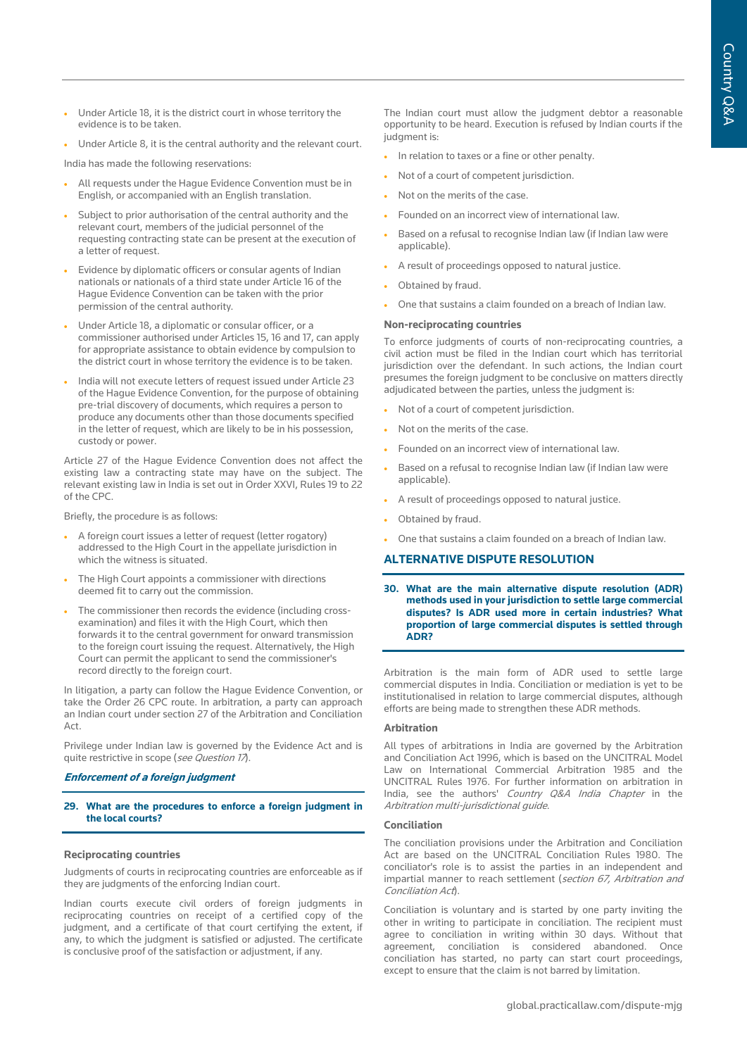- Under Article 18, it is the district court in whose territory the evidence is to be taken.
- Under Article 8, it is the central authority and the relevant court.

India has made the following reservations:

- All requests under the Hague Evidence Convention must be in English, or accompanied with an English translation.
- Subject to prior authorisation of the central authority and the relevant court, members of the judicial personnel of the requesting contracting state can be present at the execution of a letter of request.
- Evidence by diplomatic officers or consular agents of Indian nationals or nationals of a third state under Article 16 of the Hague Evidence Convention can be taken with the prior permission of the central authority.
- Under Article 18, a diplomatic or consular officer, or a commissioner authorised under Articles 15, 16 and 17, can apply for appropriate assistance to obtain evidence by compulsion to the district court in whose territory the evidence is to be taken.
- India will not execute letters of request issued under Article 23 of the Hague Evidence Convention, for the purpose of obtaining pre-trial discovery of documents, which requires a person to produce any documents other than those documents specified in the letter of request, which are likely to be in his possession, custody or power.

Article 27 of the Hague Evidence Convention does not affect the existing law a contracting state may have on the subject. The relevant existing law in India is set out in Order XXVI, Rules 19 to 22 of the CPC.

Briefly, the procedure is as follows:

- A foreign court issues a letter of request (letter rogatory) addressed to the High Court in the appellate jurisdiction in which the witness is situated.
- The High Court appoints a commissioner with directions deemed fit to carry out the commission.
- The commissioner then records the evidence (including crossexamination) and files it with the High Court, which then forwards it to the central government for onward transmission to the foreign court issuing the request. Alternatively, the High Court can permit the applicant to send the commissioner's record directly to the foreign court.

In litigation, a party can follow the Hague Evidence Convention, or take the Order 26 CPC route. In arbitration, a party can approach an Indian court under section 27 of the Arbitration and Conciliation Act.

Privilege under Indian law is governed by the Evidence Act and is quite restrictive in scope (see Question 17).

#### **Enforcement of a foreign judgment**

## **29. What are the procedures to enforce a foreign judgment in the local courts?**

#### **Reciprocating countries**

Judgments of courts in reciprocating countries are enforceable as if they are judgments of the enforcing Indian court.

Indian courts execute civil orders of foreign judgments in reciprocating countries on receipt of a certified copy of the judgment, and a certificate of that court certifying the extent, if any, to which the judgment is satisfied or adjusted. The certificate is conclusive proof of the satisfaction or adjustment, if any.

The Indian court must allow the judgment debtor a reasonable opportunity to be heard. Execution is refused by Indian courts if the judgment is:

- In relation to taxes or a fine or other penalty.
- Not of a court of competent jurisdiction.
- Not on the merits of the case.
- Founded on an incorrect view of international law.
- Based on a refusal to recognise Indian law (if Indian law were applicable).
- A result of proceedings opposed to natural justice.
- Obtained by fraud.
- One that sustains a claim founded on a breach of Indian law.

## **Non-reciprocating countries**

To enforce judgments of courts of non-reciprocating countries, a civil action must be filed in the Indian court which has territorial jurisdiction over the defendant. In such actions, the Indian court presumes the foreign judgment to be conclusive on matters directly adjudicated between the parties, unless the judgment is:

- Not of a court of competent jurisdiction.
- Not on the merits of the case.
- Founded on an incorrect view of international law.
- Based on a refusal to recognise Indian law (if Indian law were applicable).
- A result of proceedings opposed to natural justice.
- Obtained by fraud.
- One that sustains a claim founded on a breach of Indian law.

## **ALTERNATIVE DISPUTE RESOLUTION**

**30. What are the main alternative dispute resolution (ADR) methods used in your jurisdiction to settle large commercial disputes? Is ADR used more in certain industries? What proportion of large commercial disputes is settled through ADR?**

Arbitration is the main form of ADR used to settle large commercial disputes in India. Conciliation or mediation is yet to be institutionalised in relation to large commercial disputes, although efforts are being made to strengthen these ADR methods.

#### **Arbitration**

All types of arbitrations in India are governed by the Arbitration and Conciliation Act 1996, which is based on the UNCITRAL Model Law on International Commercial Arbitration 1985 and the UNCITRAL Rules 1976. For further information on arbitration in India, see the authors' Country Q&A India Chapter in the Arbitration multi-jurisdictional quide.

#### **Conciliation**

The conciliation provisions under the Arbitration and Conciliation Act are based on the UNCITRAL Conciliation Rules 1980. The conciliator's role is to assist the parties in an independent and impartial manner to reach settlement (section 67, Arbitration and Conciliation Act).

Conciliation is voluntary and is started by one party inviting the other in writing to participate in conciliation. The recipient must agree to conciliation in writing within 30 days. Without that agreement, conciliation is considered abandoned. Once conciliation has started, no party can start court proceedings, except to ensure that the claim is not barred by limitation.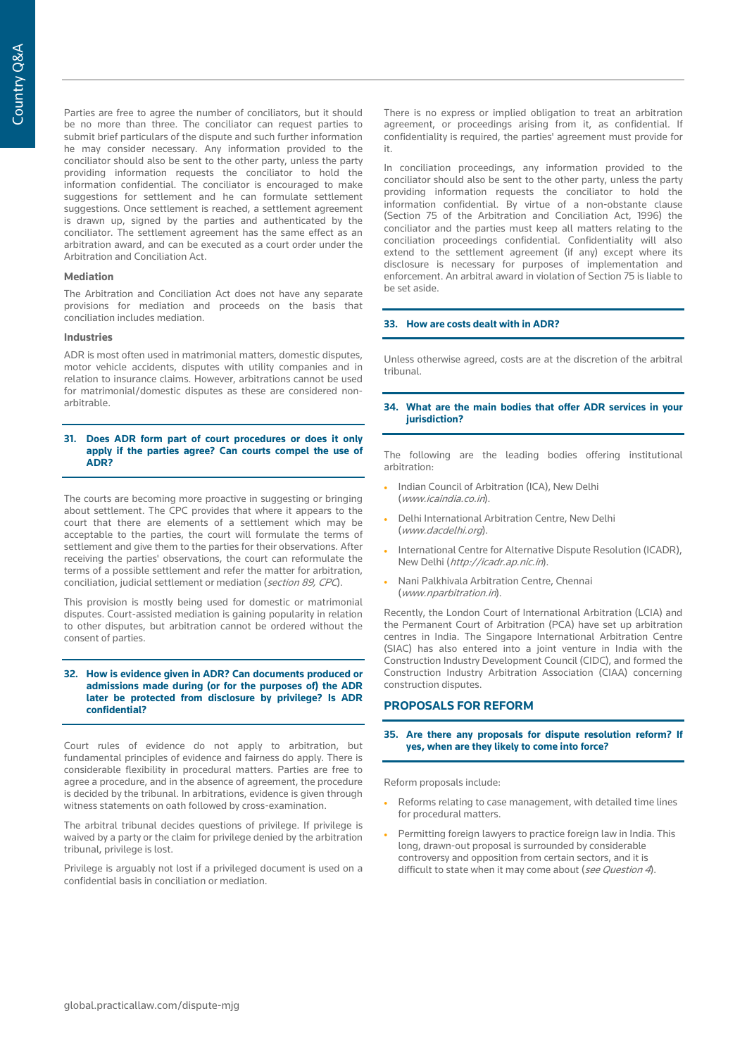Parties are free to agree the number of conciliators, but it should be no more than three. The conciliator can request parties to submit brief particulars of the dispute and such further information he may consider necessary. Any information provided to the conciliator should also be sent to the other party, unless the party providing information requests the conciliator to hold the information confidential. The conciliator is encouraged to make suggestions for settlement and he can formulate settlement suggestions. Once settlement is reached, a settlement agreement is drawn up, signed by the parties and authenticated by the conciliator. The settlement agreement has the same effect as an arbitration award, and can be executed as a court order under the Arbitration and Conciliation Act.

## **Mediation**

The Arbitration and Conciliation Act does not have any separate provisions for mediation and proceeds on the basis that conciliation includes mediation.

## **Industries**

ADR is most often used in matrimonial matters, domestic disputes, motor vehicle accidents, disputes with utility companies and in relation to insurance claims. However, arbitrations cannot be used for matrimonial/domestic disputes as these are considered nonarbitrable.

## **31. Does ADR form part of court procedures or does it only apply if the parties agree? Can courts compel the use of ADR?**

The courts are becoming more proactive in suggesting or bringing about settlement. The CPC provides that where it appears to the court that there are elements of a settlement which may be acceptable to the parties, the court will formulate the terms of settlement and give them to the parties for their observations. After receiving the parties' observations, the court can reformulate the terms of a possible settlement and refer the matter for arbitration, conciliation, judicial settlement or mediation (section 89, CPC).

This provision is mostly being used for domestic or matrimonial disputes. Court-assisted mediation is gaining popularity in relation to other disputes, but arbitration cannot be ordered without the consent of parties.

#### **32. How is evidence given in ADR? Can documents produced or admissions made during (or for the purposes of) the ADR later be protected from disclosure by privilege? Is ADR confidential?**

Court rules of evidence do not apply to arbitration, but fundamental principles of evidence and fairness do apply. There is considerable flexibility in procedural matters. Parties are free to agree a procedure, and in the absence of agreement, the procedure is decided by the tribunal. In arbitrations, evidence is given through witness statements on oath followed by cross-examination.

The arbitral tribunal decides questions of privilege. If privilege is waived by a party or the claim for privilege denied by the arbitration tribunal, privilege is lost.

Privilege is arguably not lost if a privileged document is used on a confidential basis in conciliation or mediation.

There is no express or implied obligation to treat an arbitration agreement, or proceedings arising from it, as confidential. If confidentiality is required, the parties' agreement must provide for it.

In conciliation proceedings, any information provided to the conciliator should also be sent to the other party, unless the party providing information requests the conciliator to hold the information confidential. By virtue of a non-obstante clause (Section 75 of the Arbitration and Conciliation Act, 1996) the conciliator and the parties must keep all matters relating to the conciliation proceedings confidential. Confidentiality will also extend to the settlement agreement (if any) except where its disclosure is necessary for purposes of implementation and enforcement. An arbitral award in violation of Section 75 is liable to be set aside.

## **33. How are costs dealt with in ADR?**

Unless otherwise agreed, costs are at the discretion of the arbitral tribunal.

## **34. What are the main bodies that offer ADR services in your jurisdiction?**

The following are the leading bodies offering institutional arbitration:

- Indian Council of Arbitration (ICA), New Delhi (www.icaindia.co.in).
- Delhi International Arbitration Centre, New Delhi (www.dacdelhi.org).
- International Centre for Alternative Dispute Resolution (ICADR), New Delhi (http://icadr.ap.nic.in).
- Nani Palkhivala Arbitration Centre, Chennai (www.nparbitration.in).

Recently, the London Court of International Arbitration (LCIA) and the Permanent Court of Arbitration (PCA) have set up arbitration centres in India. The Singapore International Arbitration Centre (SIAC) has also entered into a joint venture in India with the Construction Industry Development Council (CIDC), and formed the Construction Industry Arbitration Association (CIAA) concerning construction disputes.

## **PROPOSALS FOR REFORM**

## **35. Are there any proposals for dispute resolution reform? If yes, when are they likely to come into force?**

Reform proposals include:

- Reforms relating to case management, with detailed time lines for procedural matters.
- Permitting foreign lawyers to practice foreign law in India. This long, drawn-out proposal is surrounded by considerable controversy and opposition from certain sectors, and it is difficult to state when it may come about (see Question 4).